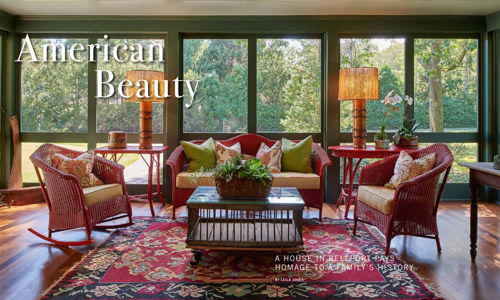